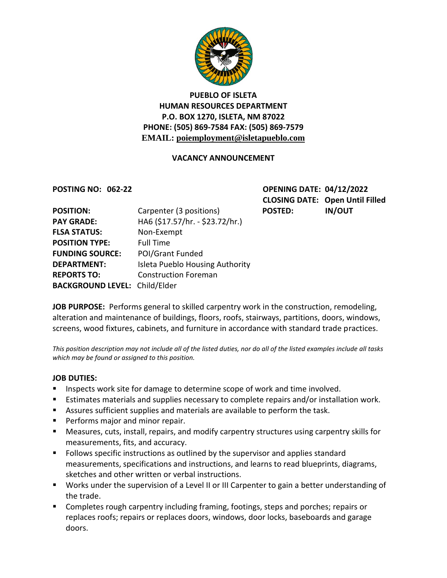

## **PUEBLO OF ISLETA HUMAN RESOURCES DEPARTMENT P.O. BOX 1270, ISLETA, NM 87022 PHONE: (505) 869-7584 FAX: (505) 869-7579 EMAIL: poiemployment@isletapueblo.com**

#### **VACANCY ANNOUNCEMENT**

**POSTING NO: 062-22 OPENING DATE: 04/12/2022 CLOSING DATE: Open Until Filled**

| <b>POSITION:</b>                     | Carpenter (3 positions)         | <b>POSTED:</b> | <b>IN/OUT</b> |
|--------------------------------------|---------------------------------|----------------|---------------|
| <b>PAY GRADE:</b>                    | HA6 (\$17.57/hr. - \$23.72/hr.) |                |               |
| <b>FLSA STATUS:</b>                  | Non-Exempt                      |                |               |
| <b>POSITION TYPE:</b>                | <b>Full Time</b>                |                |               |
| <b>FUNDING SOURCE:</b>               | <b>POI/Grant Funded</b>         |                |               |
| <b>DEPARTMENT:</b>                   | Isleta Pueblo Housing Authority |                |               |
| <b>REPORTS TO:</b>                   | <b>Construction Foreman</b>     |                |               |
| <b>BACKGROUND LEVEL: Child/Elder</b> |                                 |                |               |

**JOB PURPOSE:** Performs general to skilled carpentry work in the construction, remodeling, alteration and maintenance of buildings, floors, roofs, stairways, partitions, doors, windows, screens, wood fixtures, cabinets, and furniture in accordance with standard trade practices.

*This position description may not include all of the listed duties, nor do all of the listed examples include all tasks which may be found or assigned to this position.*

#### **JOB DUTIES:**

- Inspects work site for damage to determine scope of work and time involved.
- **Estimates materials and supplies necessary to complete repairs and/or installation work.**
- Assures sufficient supplies and materials are available to perform the task.
- **Performs major and minor repair.**
- Measures, cuts, install, repairs, and modify carpentry structures using carpentry skills for measurements, fits, and accuracy.
- **FIC 1** Follows specific instructions as outlined by the supervisor and applies standard measurements, specifications and instructions, and learns to read blueprints, diagrams, sketches and other written or verbal instructions.
- Works under the supervision of a Level II or III Carpenter to gain a better understanding of the trade.
- Completes rough carpentry including framing, footings, steps and porches; repairs or replaces roofs; repairs or replaces doors, windows, door locks, baseboards and garage doors.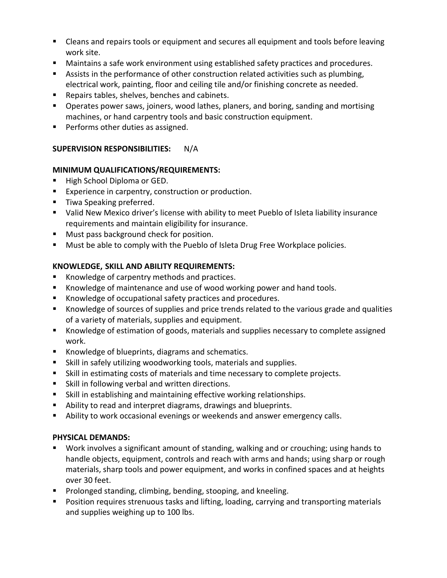- **EXT** Cleans and repairs tools or equipment and secures all equipment and tools before leaving work site.
- Maintains a safe work environment using established safety practices and procedures.
- **Assists in the performance of other construction related activities such as plumbing,** electrical work, painting, floor and ceiling tile and/or finishing concrete as needed.
- Repairs tables, shelves, benches and cabinets.
- **Dearates power saws, joiners, wood lathes, planers, and boring, sanding and mortising** machines, or hand carpentry tools and basic construction equipment.
- **Performs other duties as assigned.**

## **SUPERVISION RESPONSIBILITIES:** N/A

### **MINIMUM QUALIFICATIONS/REQUIREMENTS:**

- High School Diploma or GED.
- **Experience in carpentry, construction or production.**
- **Tiwa Speaking preferred.**
- Valid New Mexico driver's license with ability to meet Pueblo of Isleta liability insurance requirements and maintain eligibility for insurance.
- **Must pass background check for position.**
- **Must be able to comply with the Pueblo of Isleta Drug Free Workplace policies.**

# **KNOWLEDGE, SKILL AND ABILITY REQUIREMENTS:**

- Knowledge of carpentry methods and practices.
- Knowledge of maintenance and use of wood working power and hand tools.
- Knowledge of occupational safety practices and procedures.
- Knowledge of sources of supplies and price trends related to the various grade and qualities of a variety of materials, supplies and equipment.
- Knowledge of estimation of goods, materials and supplies necessary to complete assigned work.
- Knowledge of blueprints, diagrams and schematics.
- Skill in safely utilizing woodworking tools, materials and supplies.
- Skill in estimating costs of materials and time necessary to complete projects.
- **Skill in following verbal and written directions.**
- Skill in establishing and maintaining effective working relationships.
- Ability to read and interpret diagrams, drawings and blueprints.
- Ability to work occasional evenings or weekends and answer emergency calls.

### **PHYSICAL DEMANDS:**

- Work involves a significant amount of standing, walking and or crouching; using hands to handle objects, equipment, controls and reach with arms and hands; using sharp or rough materials, sharp tools and power equipment, and works in confined spaces and at heights over 30 feet.
- **Prolonged standing, climbing, bending, stooping, and kneeling.**
- **Position requires strenuous tasks and lifting, loading, carrying and transporting materials** and supplies weighing up to 100 lbs.